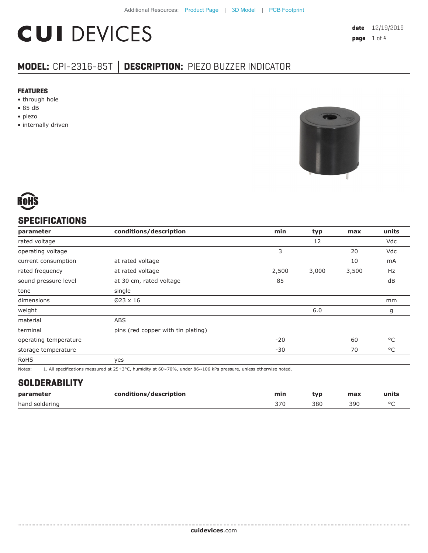# **CUI DEVICES**

**date** 12/19/2019 **page** 1 of 4

## **MODEL:** CPI-2316-85T **│ DESCRIPTION:** PIEZO BUZZER INDICATOR

#### **FEATURES**

- through hole
- 85 dB
- piezo
- internally driven





#### **SPECIFICATIONS**

| parameter             | conditions/description             | min   | typ   | max   | units |
|-----------------------|------------------------------------|-------|-------|-------|-------|
| rated voltage         |                                    |       | 12    |       | Vdc   |
| operating voltage     |                                    | 3     |       | 20    | Vdc   |
| current consumption   | at rated voltage                   |       |       | 10    | mA    |
| rated frequency       | at rated voltage                   | 2,500 | 3,000 | 3,500 | Hz    |
| sound pressure level  | at 30 cm, rated voltage            | 85    |       |       | dB    |
| tone                  | single                             |       |       |       |       |
| dimensions            | $Ø23 \times 16$                    |       |       |       | mm    |
| weight                |                                    |       | 6.0   |       | g     |
| material              | <b>ABS</b>                         |       |       |       |       |
| terminal              | pins (red copper with tin plating) |       |       |       |       |
| operating temperature |                                    | $-20$ |       | 60    | °C    |
| storage temperature   |                                    | $-30$ |       | 70    | °C    |
| <b>RoHS</b>           | yes                                |       |       |       |       |
|                       | .                                  |       |       |       |       |

Notes: 1. All specifications measured at 25±3°C, humidity at 60~70%, under 86~106 kPa pressure, unless otherwise noted.

#### **SOLDERABILITY**

| parameter         | :/description<br>ran<br>$ -$ | min | wn  | max | units |
|-------------------|------------------------------|-----|-----|-----|-------|
| hand<br>soldering |                              | つつの | 380 | 390 |       |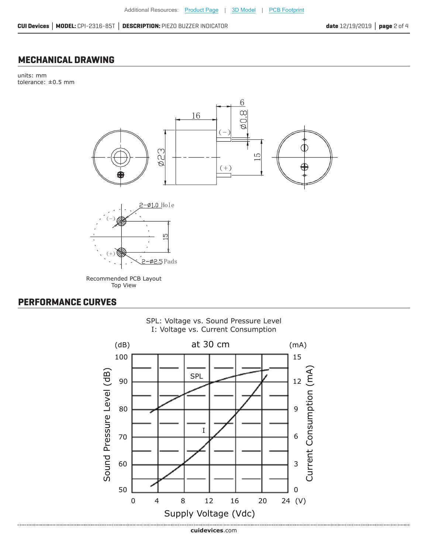### **MECHANICAL DRAWING**

units: mm tolerance: ±0.5 mm



#### **PERFORMANCE CURVES**



SPL: Voltage vs. Sound Pressure Level I: Voltage vs. Current Consumption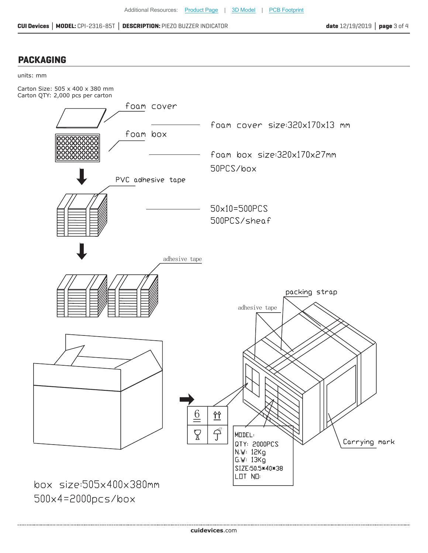#### **PACKAGING**